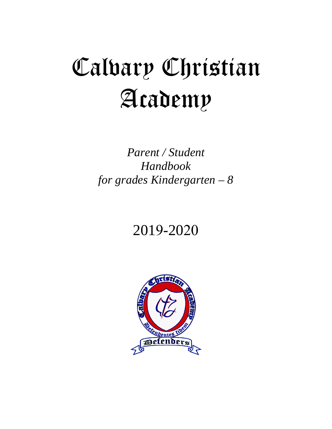# Calvary Christian Academy

*Parent / Student Handbook for grades Kindergarten – 8* 

# 2019-2020

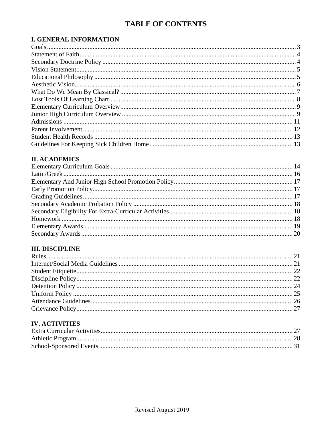# **TABLE OF CONTENTS**

# **I. GENERAL INFORMATION**

# **II. ACADEMICS**

# **III. DISCIPLINE**

# **IV. ACTIVITIES**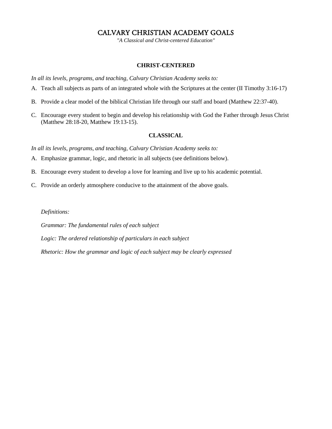# CALVARY CHRISTIAN ACADEMY GOALS

*"A Classical and Christ-centered Education"*

#### **CHRIST-CENTERED**

<span id="page-4-0"></span>*In all its levels, programs, and teaching, Calvary Christian Academy seeks to:*

- A. Teach all subjects as parts of an integrated whole with the Scriptures at the center (II Timothy 3:16-17)
- B. Provide a clear model of the biblical Christian life through our staff and board (Matthew 22:37-40).
- C. Encourage every student to begin and develop his relationship with God the Father through Jesus Christ (Matthew 28:18-20, Matthew 19:13-15).

#### **CLASSICAL**

*In all its levels, programs, and teaching, Calvary Christian Academy seeks to:*

- A. Emphasize grammar, logic, and rhetoric in all subjects (see definitions below).
- B. Encourage every student to develop a love for learning and live up to his academic potential.
- C. Provide an orderly atmosphere conducive to the attainment of the above goals.

*Definitions:*

*Grammar: The fundamental rules of each subject* 

*Logic: The ordered relationship of particulars in each subject* 

*Rhetoric: How the grammar and logic of each subject may be clearly expressed*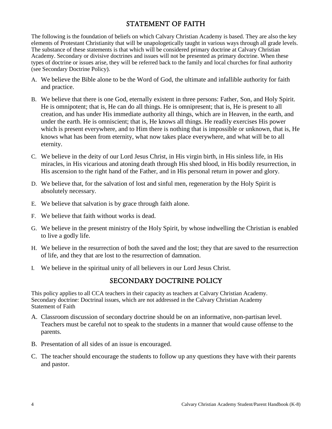# STATEMENT OF FAITH

<span id="page-5-0"></span>The following is the foundation of beliefs on which Calvary Christian Academy is based. They are also the key elements of Protestant Christianity that will be unapologetically taught in various ways through all grade levels. The substance of these statements is that which will be considered primary doctrine at Calvary Christian Academy. Secondary or divisive doctrines and issues will not be presented as primary doctrine. When these types of doctrine or issues arise, they will be referred back to the family and local churches for final authority (see Secondary Doctrine Policy).

- A. We believe the Bible alone to be the Word of God, the ultimate and infallible authority for faith and practice.
- B. We believe that there is one God, eternally existent in three persons: Father, Son, and Holy Spirit. He is omnipotent; that is, He can do all things. He is omnipresent; that is, He is present to all creation, and has under His immediate authority all things, which are in Heaven, in the earth, and under the earth. He is omniscient; that is, He knows all things. He readily exercises His power which is present everywhere, and to Him there is nothing that is impossible or unknown, that is, He knows what has been from eternity, what now takes place everywhere, and what will be to all eternity.
- C. We believe in the deity of our Lord Jesus Christ, in His virgin birth, in His sinless life, in His miracles, in His vicarious and atoning death through His shed blood, in His bodily resurrection, in His ascension to the right hand of the Father, and in His personal return in power and glory.
- D. We believe that, for the salvation of lost and sinful men, regeneration by the Holy Spirit is absolutely necessary.
- E. We believe that salvation is by grace through faith alone.
- F. We believe that faith without works is dead.
- G. We believe in the present ministry of the Holy Spirit, by whose indwelling the Christian is enabled to live a godly life.
- H. We believe in the resurrection of both the saved and the lost; they that are saved to the resurrection of life, and they that are lost to the resurrection of damnation.
- <span id="page-5-1"></span>I. We believe in the spiritual unity of all believers in our Lord Jesus Christ.

# SECONDARY DOCTRINE POLICY

This policy applies to all CCA teachers in their capacity as teachers at Calvary Christian Academy. Secondary doctrine: Doctrinal issues, which are not addressed in the Calvary Christian Academy Statement of Faith

- A. Classroom discussion of secondary doctrine should be on an informative, non-partisan level. Teachers must be careful not to speak to the students in a manner that would cause offense to the parents.
- B. Presentation of all sides of an issue is encouraged.
- C. The teacher should encourage the students to follow up any questions they have with their parents and pastor.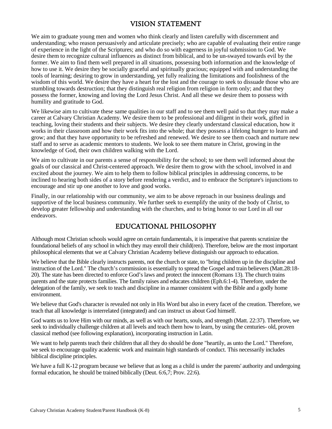# VISION STATEMENT

<span id="page-6-0"></span>We aim to graduate young men and women who think clearly and listen carefully with discernment and understanding; who reason persuasively and articulate precisely; who are capable of evaluating their entire range of experience in the light of the Scriptures; and who do so with eagerness in joyful submission to God. We desire them to recognize cultural influences as distinct from biblical, and to be un-swayed towards evil by the former. We aim to find them well prepared in all situations, possessing both information and the knowledge of how to use it. We desire they be socially graceful and spiritually gracious; equipped with and understanding the tools of learning; desiring to grow in understanding, yet fully realizing the limitations and foolishness of the wisdom of this world. We desire they have a heart for the lost and the courage to seek to dissuade those who are stumbling towards destruction; that they distinguish real religion from religion in form only; and that they possess the former, knowing and loving the Lord Jesus Christ. And all these we desire them to possess with humility and gratitude to God.

We likewise aim to cultivate these same qualities in our staff and to see them well paid so that they may make a career at Calvary Christian Academy. We desire them to be professional and diligent in their work, gifted in teaching, loving their students and their subjects. We desire they clearly understand classical education, how it works in their classroom and how their work fits into the whole; that they possess a lifelong hunger to learn and grow; and that they have opportunity to be refreshed and renewed. We desire to see them coach and nurture new staff and to serve as academic mentors to students. We look to see them mature in Christ, growing in the knowledge of God, their own children walking with the Lord.

We aim to cultivate in our parents a sense of responsibility for the school; to see them well informed about the goals of our classical and Christ-centered approach. We desire them to grow with the school, involved in and excited about the journey. We aim to help them to follow biblical principles in addressing concerns, to be inclined to hearing both sides of a story before rendering a verdict, and to embrace the Scripture's injunctions to encourage and stir up one another to love and good works.

Finally, in our relationship with our community, we aim to be above reproach in our business dealings and supportive of the local business community. We further seek to exemplify the unity of the body of Christ, to develop greater fellowship and understanding with the churches, and to bring honor to our Lord in all our endeavors.

# EDUCATIONAL PHILOSOPHY

<span id="page-6-1"></span>Although most Christian schools would agree on certain fundamentals, it is imperative that parents scrutinize the foundational beliefs of any school in which they may enroll their child(ren). Therefore, below are the most important philosophical elements that we at Calvary Christian Academy believe distinguish our approach to education.

We believe that the Bible clearly instructs parents, not the church or state, to "bring children up in the discipline and instruction of the Lord." The church's commission is essentially to spread the Gospel and train believers (Matt.28:18- 20). The state has been directed to enforce God's laws and protect the innocent (Romans 13). The church trains parents and the state protects families. The family raises and educates children (Eph.6:1-4). Therefore, under the delegation of the family, we seek to teach and discipline in a manner consistent with the Bible and a godly home environment.

We believe that God's character is revealed not only in His Word but also in every facet of the creation. Therefore, we teach that all knowledge is interrelated (integrated) and can instruct us about God himself.

God wants us to love Him with our minds, as well as with our hearts, souls, and strength (Matt. 22:37). Therefore, we seek to individually challenge children at all levels and teach them how to learn, by using the centuries- old, proven classical method (see following explanation), incorporating instruction in Latin.

We want to help parents teach their children that all they do should be done "heartily, as unto the Lord." Therefore, we seek to encourage quality academic work and maintain high standards of conduct. This necessarily includes biblical discipline principles.

We have a full K-12 program because we believe that as long as a child is under the parents' authority and undergoing formal education, he should be trained biblically (Deut. 6:6,7; Prov. 22:6).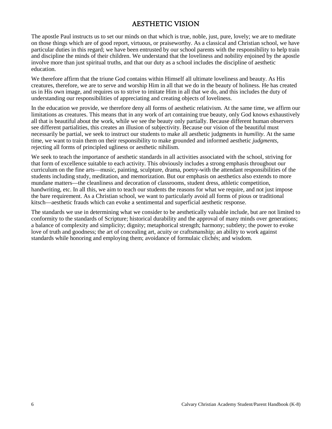# AESTHETIC VISION

<span id="page-7-0"></span>The apostle Paul instructs us to set our minds on that which is true, noble, just, pure, lovely; we are to meditate on those things which are of good report, virtuous, or praiseworthy. As a classical and Christian school, we have particular duties in this regard; we have been entrusted by our school parents with the responsibility to help train and discipline the minds of their children. We understand that the loveliness and nobility enjoined by the apostle involve more than just spiritual truths, and that our duty as a school includes the discipline of aesthetic education.

We therefore affirm that the triune God contains within Himself all ultimate loveliness and beauty. As His creatures, therefore, we are to serve and worship Him in all that we do in the beauty of holiness. He has created us in His own image, and requires us to strive to imitate Him in all that we do, and this includes the duty of understanding our responsibilities of appreciating and creating objects of loveliness.

In the education we provide, we therefore deny all forms of aesthetic relativism. At the same time, we affirm our limitations as creatures. This means that in any work of art containing true beauty, only God knows exhaustively all that is beautiful about the work, while we see the beauty only partially. Because different human observers see different partialities, this creates an illusion of subjectivity. Because our vision of the beautiful must necessarily be partial, we seek to instruct our students to make all aesthetic judgments in *humility*. At the same time, we want to train them on their responsibility to make grounded and informed aesthetic *judgments*, rejecting all forms of principled ugliness or aesthetic nihilism.

We seek to teach the importance of aesthetic standards in all activities associated with the school, striving for that form of excellence suitable to each activity. This obviously includes a strong emphasis throughout our curriculum on the fine arts—music, painting, sculpture, drama, poetry-with the attendant responsibilities of the students including study, meditation, and memorization. But our emphasis on aesthetics also extends to more mundane matters—the cleanliness and decoration of classrooms, student dress, athletic competition, handwriting, etc. In all this, we aim to teach our students the reasons for what we require, and not just impose the bare requirement. As a Christian school, we want to particularly avoid all forms of pious or traditional kitsch—aesthetic frauds which can evoke a sentimental and superficial aesthetic response.

The standards we use in determining what we consider to be aesthetically valuable include, but are not limited to conformity to the standards of Scripture; historical durability and the approval of many minds over generations; a balance of complexity and simplicity; dignity; metaphorical strength; harmony; subtlety; the power to evoke love of truth and goodness; the art of concealing art, acuity or craftsmanship; an ability to work against standards while honoring and employing them; avoidance of formulaic clichés; and wisdom.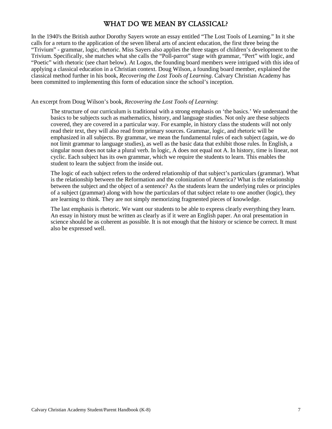# WHAT DO WE MEAN BY CLASSICAL?

<span id="page-8-0"></span>In the 1940's the British author Dorothy Sayers wrote an essay entitled "The Lost Tools of Learning." In it she calls for a return to the application of the seven liberal arts of ancient education, the first three being the "Trivium" - grammar, logic, rhetoric. Miss Sayers also applies the three stages of children's development to the Trivium. Specifically, she matches what she calls the "Poll-parrot" stage with grammar, "Pert" with logic, and "Poetic" with rhetoric (see chart below). At Logos, the founding board members were intrigued with this idea of applying a classical education in a Christian context. Doug Wilson, a founding board member, explained the classical method further in his book, *Recovering the Lost Tools of Learning*. Calvary Christian Academy has been committed to implementing this form of education since the school's inception.

#### An excerpt from Doug Wilson's book, *Recovering the Lost Tools of Learning*:

The structure of our curriculum is traditional with a strong emphasis on 'the basics.' We understand the basics to be subjects such as mathematics, history, and language studies. Not only are these subjects covered, they are covered in a particular way. For example, in history class the students will not only read their text, they will also read from primary sources. Grammar, logic, and rhetoric will be emphasized in all subjects. By grammar, we mean the fundamental rules of each subject (again, we do not limit grammar to language studies), as well as the basic data that exhibit those rules. In English, a singular noun does not take a plural verb. In logic, A does not equal not A. In history, time is linear, not cyclic. Each subject has its own grammar, which we require the students to learn. This enables the student to learn the subject from the inside out.

The logic of each subject refers to the ordered relationship of that subject's particulars (grammar). What is the relationship between the Reformation and the colonization of America? What is the relationship between the subject and the object of a sentence? As the students learn the underlying rules or principles of a subject (grammar) along with how the particulars of that subject relate to one another (logic), they are learning to think. They are not simply memorizing fragmented pieces of knowledge.

The last emphasis is rhetoric. We want our students to be able to express clearly everything they learn. An essay in history must be written as clearly as if it were an English paper. An oral presentation in science should be as coherent as possible. It is not enough that the history or science be correct. It must also be expressed well.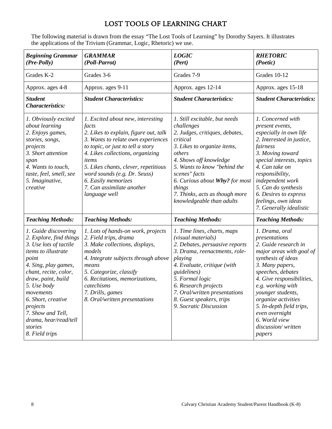# LOST TOOLS OF LEARNING CHART

<span id="page-9-0"></span>The following material is drawn from the essay "The Lost Tools of Learning" by Dorothy Sayers. It illustrates the applications of the Trivium (Grammar, Logic, Rhetoric) we use.

| <b>Beginning Grammar</b><br>(Pre-Polly)                                                                                                                                                                                                                                                                                   | <b>GRAMMAR</b><br>(Poll-Parrot)                                                                                                                                                                                                                                                                                                                          | <b>LOGIC</b><br>(Pert)                                                                                                                                                                                                                                                                                                   | <b>RHETORIC</b><br>(Poetic)                                                                                                                                                                                                                                                                                                                    |
|---------------------------------------------------------------------------------------------------------------------------------------------------------------------------------------------------------------------------------------------------------------------------------------------------------------------------|----------------------------------------------------------------------------------------------------------------------------------------------------------------------------------------------------------------------------------------------------------------------------------------------------------------------------------------------------------|--------------------------------------------------------------------------------------------------------------------------------------------------------------------------------------------------------------------------------------------------------------------------------------------------------------------------|------------------------------------------------------------------------------------------------------------------------------------------------------------------------------------------------------------------------------------------------------------------------------------------------------------------------------------------------|
| Grades K-2                                                                                                                                                                                                                                                                                                                | Grades 3-6                                                                                                                                                                                                                                                                                                                                               | Grades 7-9                                                                                                                                                                                                                                                                                                               | Grades 10-12                                                                                                                                                                                                                                                                                                                                   |
| Approx. ages 4-8                                                                                                                                                                                                                                                                                                          | Approx. ages 9-11                                                                                                                                                                                                                                                                                                                                        | Approx. ages 12-14                                                                                                                                                                                                                                                                                                       | Approx. ages 15-18                                                                                                                                                                                                                                                                                                                             |
| <b>Student</b><br><b>Characteristics:</b>                                                                                                                                                                                                                                                                                 | <b>Student Characteristics:</b>                                                                                                                                                                                                                                                                                                                          | <b>Student Characteristics:</b>                                                                                                                                                                                                                                                                                          | <b>Student Characteristics:</b>                                                                                                                                                                                                                                                                                                                |
| 1. Obviously excited<br>about learning<br>2. Enjoys games,<br>stories, songs,<br>projects<br>3. Short attention<br>span<br>4. Wants to touch,<br>taste, feel, smell, see<br>5. Imaginative,<br>creative                                                                                                                   | 1. Excited about new, interesting<br>facts<br>2. Likes to explain, figure out, talk<br>3. Wants to relate own experiences<br>to topic, or just to tell a story<br>4. Likes collections, organizing<br>items<br>5. Likes chants, clever, repetitious<br>word sounds (e.g. Dr. Seuss)<br>6. Easily memorizes<br>7. Can assimilate another<br>language well | 1. Still excitable, but needs<br>challenges<br>2. Judges, critiques, debates,<br>critical<br>3. Likes to organize items,<br>others<br>4. Shows off knowledge<br>5. Wants to know "behind the<br>scenes" facts<br>6. Curious about Why? for most<br>things<br>7. Thinks, acts as though more<br>knowledgeable than adults | 1. Concerned with<br>present events,<br>especially in own life<br>2. Interested in justice,<br>fairness<br>3. Moving toward<br>special interests, topics<br>4. Can take on<br>responsibility,<br>independent work<br>5. Can do synthesis<br>6. Desires to express<br>feelings, own ideas<br>7. Generally idealistic                            |
| <b>Teaching Methods:</b>                                                                                                                                                                                                                                                                                                  | <b>Teaching Methods:</b>                                                                                                                                                                                                                                                                                                                                 | <b>Teaching Methods:</b>                                                                                                                                                                                                                                                                                                 | <b>Teaching Methods:</b>                                                                                                                                                                                                                                                                                                                       |
| 1. Guide discovering<br>2. Explore, find things<br>3. Use lots of tactile<br>items to illustrate<br>point<br>4. Sing, play games,<br>chant, recite, color,<br>draw, paint, build<br>5. Use body<br>movements<br>6. Short, creative<br>projects<br>7. Show and Tell,<br>drama, hear/read/tell<br>stories<br>8. Field trips | 1. Lots of hands-on work, projects<br>2. Field trips, drama<br>3. Make collections, displays,<br>models<br>4. Integrate subjects through above<br>means<br>5. Categorize, classify<br>6. Recitations, memorizations,<br>catechisms<br>7. Drills, games<br>8. Oral/written presentations                                                                  | 1. Time lines, charts, maps<br>(visual materials)<br>2. Debates, persuasive reports<br>3. Drama, reenactments, role-<br>playing<br>4. Evaluate, critique (with<br>guidelines)<br>5. Formal logic<br>6. Research projects<br>7. Oral/written presentations<br>8. Guest speakers, trips<br>9. Socratic Discussion          | 1. Drama, oral<br>presentations<br>2. Guide research in<br>major areas with goal of<br>synthesis of ideas<br>3. Many papers,<br>speeches, debates<br>4. Give responsibilities,<br>e.g. working with<br>younger students,<br>organize activities<br>5. In-depth field trips,<br>even overnight<br>6. World view<br>discussion/written<br>papers |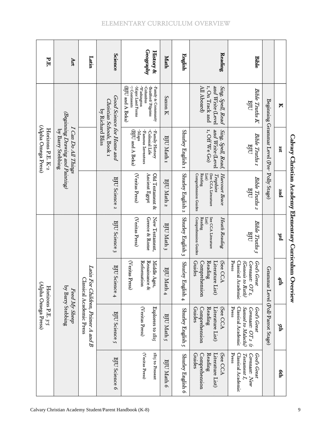<span id="page-10-1"></span><span id="page-10-0"></span>

| PE                                       | Art                                                                          | Latin                                                          | <b>Science</b>                                                             | Geography                                                                         | History &                                 | Math                  | English               | Reading                                                                                       | <b>Bible</b>                                                                                            |                                            |                  |                                                          |
|------------------------------------------|------------------------------------------------------------------------------|----------------------------------------------------------------|----------------------------------------------------------------------------|-----------------------------------------------------------------------------------|-------------------------------------------|-----------------------|-----------------------|-----------------------------------------------------------------------------------------------|---------------------------------------------------------------------------------------------------------|--------------------------------------------|------------------|----------------------------------------------------------|
|                                          |                                                                              |                                                                |                                                                            | -Major Land Forms<br>-Washington<br>-Columbus<br>(BJU and A Beka)<br>7 Continents | -Bradford/Pilgrims<br>-Family & Community | Saxon K               |                       | 1, On Track and<br>All Aboard)<br>and Write (Level<br>Sing, Spell, Read                       | ${\it Bible\phantom{ }}$ ${\it Tuths\phantom{ }}$ ${\it K}$<br>BJU                                      |                                            | N                |                                                          |
| (Alpha Omega Press)<br>Horizons P.E. K-2 | (Beginning Drawing and Painting)<br>I Can Do All Things<br>by Barry Stebbing |                                                                | Good Science for Home and<br>Christian Schools, Book 1<br>by Richard Bliss | -Maps<br>-Famous Inventors<br>(BJU and A Beka)                                    | -Family History<br>-Colonial Life         | BJU Math 1            | Shurley English 1     | and Write (Level<br>1, Off We Go)<br>Sing, Spell, Read,                                       | Bible Truths 1<br>BJU                                                                                   | Beginning Grammar Level (Pre- Polly Stage) | Ist              |                                                          |
|                                          |                                                                              |                                                                | BJU Science 2                                                              | (Veritas Press)<br>Ancient Egypt                                                  | Old Testament &                           | BJU Math 2            | Shurley English 2     | Comprehension Guides<br>Reading<br>(See CCA Literature<br>List)<br>Trophies<br>Harcourt Brace | Bible Truths 2<br>BJU                                                                                   |                                            | 2nd              |                                                          |
|                                          |                                                                              |                                                                | BJU Science 3                                                              | (Veritas Press)<br>Greece & Rome                                                  | New Testament,                            | BJU Math 3            | Shurley English 3     | Comprehension Guides<br>See CCA Literature<br>Reading<br>List)<br>Heath Reading               | <b>Bible Truths 3</b><br>BJU                                                                            |                                            | <sup>3rd</sup>   |                                                          |
|                                          |                                                                              |                                                                | BJU Science 4                                                              | Reformation<br>Renaissance &<br>(Veritas Press)                                   | Middle Ages,                              | <b>BJUN</b><br>Math 4 | Shurley:<br>English 4 | (See CCZ<br>Guides<br>Reading<br>Literature List)<br>Comprehension                            | Press<br>Classical Academic<br>God's Great<br>(Genesis to Ruth)<br>Covenant: OT <sub>1</sub> ,          |                                            | $4\mathrm{t\!p}$ | Calvary Christian Academy Elementary Curriculum Overview |
| (Alpha Omega Press)<br>Horizons P.E. 3-5 | by Barry Stebbing<br>Feed My Sheep                                           | Latin For Children, Primer A and B<br>Classical Academic Press | BJU Science 5                                                              | (Veritas Press)                                                                   | Explorers to 1815                         | BJU Math 5            | Shurley English 5     | Literature List)<br>Comprehension<br>Reading<br>(See CCA<br>Guides                            | Press<br><b>Classical Academic</b><br>Sanuel to Malachi)<br>Covenant: OT <sub>2</sub> (r<br>God's Great | Grammar Level (Poll-Parrot Stage)          | ţф               |                                                          |
|                                          |                                                                              |                                                                | BJU Science 6                                                              | (Veritas Press)                                                                   | 1815 to Present                           | BJU Math 6            | Shurley English 6     | Comprehension<br>Reading<br>Literature List)<br>(See CCA<br>Guides                            | Press<br>Classical Academic<br>Covenant: New<br>Testament I,<br>God's Great                             |                                            | ęф               |                                                          |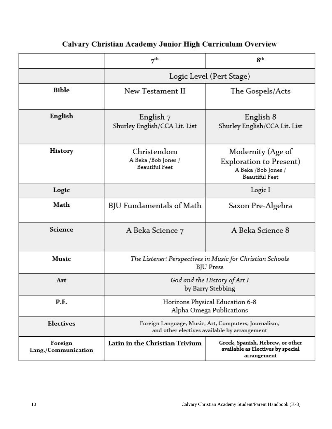|                                | 7 <sup>th</sup>                                                                                      | 8 <sup>th</sup>                                                                                     |  |  |
|--------------------------------|------------------------------------------------------------------------------------------------------|-----------------------------------------------------------------------------------------------------|--|--|
|                                | Logic Level (Pert Stage)                                                                             |                                                                                                     |  |  |
| <b>Bible</b>                   | New Testament II                                                                                     | The Gospels/Acts                                                                                    |  |  |
| English                        | English 7<br>Shurley English/CCA Lit. List                                                           | English 8<br>Shurley English/CCA Lit. List                                                          |  |  |
| <b>History</b>                 | Christendom<br>A Beka /Bob Jones /<br><b>Beautiful Feet</b>                                          | Modernity (Age of<br><b>Exploration to Present)</b><br>A Beka /Bob Jones /<br><b>Beautiful Feet</b> |  |  |
| Logic                          |                                                                                                      | Logic I                                                                                             |  |  |
| Math                           | BJU Fundamentals of Math                                                                             | Saxon Pre-Algebra                                                                                   |  |  |
| Science                        | A Beka Science 7                                                                                     | A Beka Science 8                                                                                    |  |  |
| <b>Music</b>                   | The Listener: Perspectives in Music for Christian Schools<br><b>BJU</b> Press                        |                                                                                                     |  |  |
| Art                            | God and the History of Art I<br>by Barry Stebbing                                                    |                                                                                                     |  |  |
| P.E.                           | Horizons Physical Education 6-8<br>Alpha Omega Publications                                          |                                                                                                     |  |  |
| <b>Electives</b>               | Foreign Language, Music, Art, Computers, Journalism,<br>and other electives available by arrangement |                                                                                                     |  |  |
| Foreign<br>Lang./Communication | Latin in the Christian Trivium                                                                       | Greek, Spanish, Hebrew, or other<br>available as Electives by special<br>arrangement                |  |  |

# Calvary Christian Academy Junior High Curriculum Overview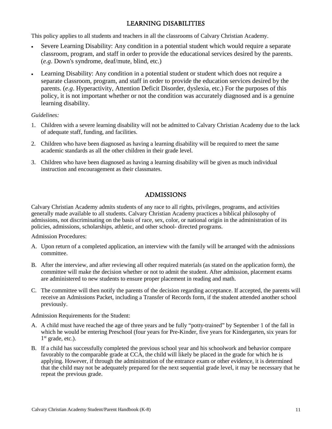# LEARNING DISABILITIES

This policy applies to all students and teachers in all the classrooms of Calvary Christian Academy.

- Severe Learning Disability: Any condition in a potential student which would require a separate classroom, program, and staff in order to provide the educational services desired by the parents. (*e.g*. Down's syndrome, deaf/mute, blind, etc.)
- Learning Disability: Any condition in a potential student or student which does not require a separate classroom, program, and staff in order to provide the education services desired by the parents. (*e.g*. Hyperactivity, Attention Deficit Disorder, dyslexia, etc.) For the purposes of this policy, it is not important whether or not the condition was accurately diagnosed and is a genuine learning disability.

#### *Guidelines:*

- 1. Children with a severe learning disability will not be admitted to Calvary Christian Academy due to the lack of adequate staff, funding, and facilities.
- 2. Children who have been diagnosed as having a learning disability will be required to meet the same academic standards as all the other children in their grade level.
- 3. Children who have been diagnosed as having a learning disability will be given as much individual instruction and encouragement as their classmates.

# ADMISSIONS

<span id="page-12-0"></span>Calvary Christian Academy admits students of any race to all rights, privileges, programs, and activities generally made available to all students. Calvary Christian Academy practices a biblical philosophy of admissions, not discriminating on the basis of race, sex, color, or national origin in the administration of its policies, admissions, scholarships, athletic, and other school- directed programs.

#### Admission Procedures:

- A. Upon return of a completed application, an interview with the family will be arranged with the admissions committee.
- B. After the interview, and after reviewing all other required materials (as stated on the application form), the committee will make the decision whether or not to admit the student. After admission, placement exams are administered to new students to ensure proper placement in reading and math.
- C. The committee will then notify the parents of the decision regarding acceptance. If accepted, the parents will receive an Admissions Packet, including a Transfer of Records form, if the student attended another school previously.

Admission Requirements for the Student:

- A. A child must have reached the age of three years and be fully "potty-trained" by September 1 of the fall in which he would be entering Preschool (four years for Pre-Kinder, five years for Kindergarten, six years for  $1<sup>st</sup>$  grade, etc.).
- B. If a child has successfully completed the previous school year and his schoolwork and behavior compare favorably to the comparable grade at CCA, the child will likely be placed in the grade for which he is applying. However, if through the administration of the entrance exam or other evidence, it is determined that the child may not be adequately prepared for the next sequential grade level, it may be necessary that he repeat the previous grade.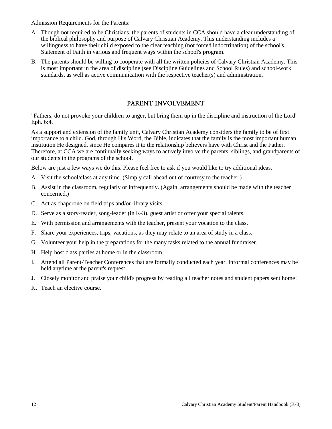Admission Requirements for the Parents:

- A. Though not required to be Christians, the parents of students in CCA should have a clear understanding of the biblical philosophy and purpose of Calvary Christian Academy. This understanding includes a willingness to have their child exposed to the clear teaching (not forced indoctrination) of the school's Statement of Faith in various and frequent ways within the school's program.
- B. The parents should be willing to cooperate with all the written policies of Calvary Christian Academy. This is most important in the area of discipline (see Discipline Guidelines and School Rules) and school-work standards, as well as active communication with the respective teacher(s) and administration.

#### PARENT INVOLVEMENT

<span id="page-13-0"></span>"Fathers, do not provoke your children to anger, but bring them up in the discipline and instruction of the Lord" Eph. 6:4.

As a support and extension of the family unit, Calvary Christian Academy considers the family to be of first importance to a child. God, through His Word, the Bible, indicates that the family is the most important human institution He designed, since He compares it to the relationship believers have with Christ and the Father. Therefore, at CCA we are continually seeking ways to actively involve the parents, siblings, and grandparents of our students in the programs of the school.

Below are just a few ways we do this. Please feel free to ask if you would like to try additional ideas.

- A. Visit the school/class at any time. (Simply call ahead out of courtesy to the teacher.)
- B. Assist in the classroom, regularly or infrequently. (Again, arrangements should be made with the teacher concerned.)
- C. Act as chaperone on field trips and/or library visits.
- D. Serve as a story-reader, song-leader (in K-3), guest artist or offer your special talents.
- E. With permission and arrangements with the teacher, present your vocation to the class.
- F. Share your experiences, trips, vacations, as they may relate to an area of study in a class.
- G. Volunteer your help in the preparations for the many tasks related to the annual fundraiser.
- H. Help host class parties at home or in the classroom.
- I. Attend all Parent-Teacher Conferences that are formally conducted each year. Informal conferences may be held anytime at the parent's request.
- J. Closely monitor and praise your child's progress by reading all teacher notes and student papers sent home!
- K. Teach an elective course.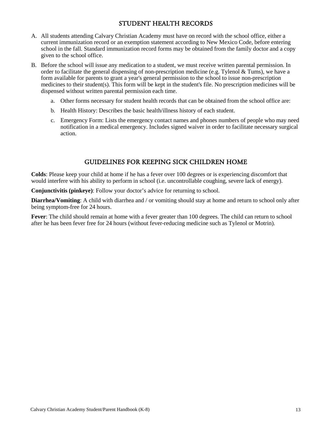# STUDENT HEALTH RECORDS

- <span id="page-14-0"></span>A. All students attending Calvary Christian Academy must have on record with the school office, either a current immunization record or an exemption statement according to New Mexico Code, before entering school in the fall. Standard immunization record forms may be obtained from the family doctor and a copy given to the school office.
- B. Before the school will issue any medication to a student, we must receive written parental permission. In order to facilitate the general dispensing of non-prescription medicine (e.g. Tylenol  $&$  Tums), we have a form available for parents to grant a year's general permission to the school to issue non-prescription medicines to their student(s). This form will be kept in the student's file. No prescription medicines will be dispensed without written parental permission each time.
	- a. Other forms necessary for student health records that can be obtained from the school office are:
	- b. Health History: Describes the basic health/illness history of each student.
	- c. Emergency Form: Lists the emergency contact names and phones numbers of people who may need notification in a medical emergency. Includes signed waiver in order to facilitate necessary surgical action.

#### GUIDELINES FOR KEEPING SICK CHILDREN HOME

<span id="page-14-1"></span>**Colds**: Please keep your child at home if he has a fever over 100 degrees or is experiencing discomfort that would interfere with his ability to perform in school (i.e. uncontrollable coughing, severe lack of energy).

**Conjunctivitis (pinkeye)**: Follow your doctor's advice for returning to school.

**Diarrhea/Vomiting**: A child with diarrhea and / or vomiting should stay at home and return to school only after being symptom-free for 24 hours.

**Fever**: The child should remain at home with a fever greater than 100 degrees. The child can return to school after he has been fever free for 24 hours (without fever-reducing medicine such as Tylenol or Motrin).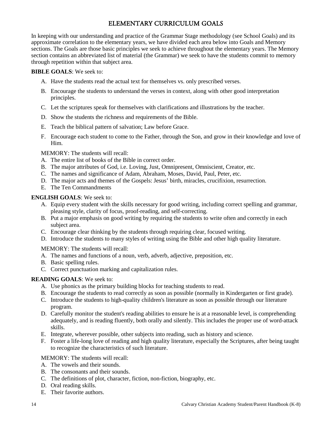# ELEMENTARY CURRICULUM GOALS

<span id="page-15-0"></span>In keeping with our understanding and practice of the Grammar Stage methodology (see School Goals) and its approximate correlation to the elementary years, we have divided each area below into Goals and Memory sections. The Goals are those basic principles we seek to achieve throughout the elementary years. The Memory section contains an abbreviated list of material (the Grammar) we seek to have the students commit to memory through repetition within that subject area.

#### **BIBLE GOALS**: We seek to:

- A. Have the students read the actual text for themselves vs. only prescribed verses.
- B. Encourage the students to understand the verses in context, along with other good interpretation principles.
- C. Let the scriptures speak for themselves with clarifications and illustrations by the teacher.
- D. Show the students the richness and requirements of the Bible.
- E. Teach the biblical pattern of salvation; Law before Grace.
- F. Encourage each student to come to the Father, through the Son, and grow in their knowledge and love of Him.

MEMORY: The students will recall:

- A. The entire list of books of the Bible in correct order.
- B. The major attributes of God, i.e. Loving, Just, Omnipresent, Omniscient, Creator, etc.
- C. The names and significance of Adam, Abraham, Moses, David, Paul, Peter, etc.
- D. The major acts and themes of the Gospels: Jesus' birth, miracles, crucifixion, resurrection.
- E. The Ten Commandments

#### **ENGLISH GOALS**: We seek to:

- A. Equip every student with the skills necessary for good writing, including correct spelling and grammar, pleasing style, clarity of focus, proof-reading, and self-correcting.
- B. Put a major emphasis on good writing by requiring the students to write often and correctly in each subject area.
- C. Encourage clear thinking by the students through requiring clear, focused writing.
- D. Introduce the students to many styles of writing using the Bible and other high quality literature.

#### MEMORY: The students will recall:

- A. The names and functions of a noun, verb, adverb, adjective, preposition, etc.
- B. Basic spelling rules.
- C. Correct punctuation marking and capitalization rules.

#### **READING GOALS**: We seek to:

- A. Use phonics as the primary building blocks for teaching students to read.
- B. Encourage the students to read correctly as soon as possible (normally in Kindergarten or first grade).
- C. Introduce the students to high-quality children's literature as soon as possible through our literature program.
- D. Carefully monitor the student's reading abilities to ensure he is at a reasonable level, is comprehending adequately, and is reading fluently, both orally and silently. This includes the proper use of word-attack skills.
- E. Integrate, wherever possible, other subjects into reading, such as history and science.
- F. Foster a life-long love of reading and high quality literature, especially the Scriptures, after being taught to recognize the characteristics of such literature.

#### MEMORY: The students will recall:

- A. The vowels and their sounds.
- B. The consonants and their sounds.
- C. The definitions of plot, character, fiction, non-fiction, biography, etc.
- D. Oral reading skills.
- E. Their favorite authors.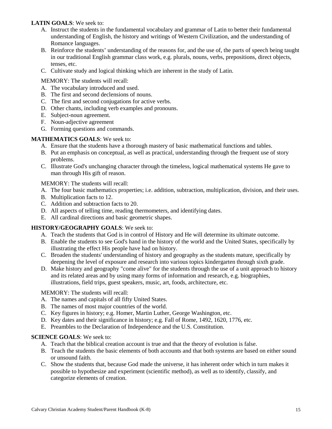#### **LATIN GOALS**: We seek to:

- A. Instruct the students in the fundamental vocabulary and grammar of Latin to better their fundamental understanding of English, the history and writings of Western Civilization, and the understanding of Romance languages.
- B. Reinforce the students' understanding of the reasons for, and the use of, the parts of speech being taught in our traditional English grammar class work, e.g. plurals, nouns, verbs, prepositions, direct objects, tenses, etc.
- C. Cultivate study and logical thinking which are inherent in the study of Latin.

#### MEMORY: The students will recall:

- A. The vocabulary introduced and used.
- B. The first and second declensions of nouns.
- C. The first and second conjugations for active verbs.
- D. Other chants, including verb examples and pronouns.
- E. Subject-noun agreement.
- F. Noun-adjective agreement
- G. Forming questions and commands.

#### **MATHEMATICS GOALS**: We seek to:

- A. Ensure that the students have a thorough mastery of basic mathematical functions and tables.
- B. Put an emphasis on conceptual, as well as practical, understanding through the frequent use of story problems.
- C. Illustrate God's unchanging character through the timeless, logical mathematical systems He gave to man through His gift of reason.

#### MEMORY: The students will recall:

- A. The four basic mathematics properties; i.e. addition, subtraction, multiplication, division, and their uses.
- B. Multiplication facts to 12.
- C. Addition and subtraction facts to 20.
- D. All aspects of telling time, reading thermometers, and identifying dates.
- E. All cardinal directions and basic geometric shapes.

#### **HISTORY/GEOGRAPHY GOALS**: We seek to:

- A. Teach the students that God is in control of History and He will determine its ultimate outcome.
- B. Enable the students to see God's hand in the history of the world and the United States, specifically by illustrating the effect His people have had on history.
- C. Broaden the students' understanding of history and geography as the students mature, specifically by deepening the level of exposure and research into various topics kindergarten through sixth grade.
- D. Make history and geography "come alive" for the students through the use of a unit approach to history and its related areas and by using many forms of information and research, e.g. biographies, illustrations, field trips, guest speakers, music, art, foods, architecture, etc.

#### MEMORY: The students will recall:

- A. The names and capitals of all fifty United States.
- B. The names of most major countries of the world.
- C. Key figures in history; e.g. Homer, Martin Luther, George Washington, etc.
- D. Key dates and their significance in history; e.g. Fall of Rome, 1492, 1620, 1776, etc.
- E. Preambles to the Declaration of Independence and the U.S. Constitution.

#### **SCIENCE GOALS**: We seek to:

- A. Teach that the biblical creation account is true and that the theory of evolution is false.
- B. Teach the students the basic elements of both accounts and that both systems are based on either sound or unsound faith.
- C. Show the students that, because God made the universe, it has inherent order which in turn makes it possible to hypothesize and experiment (scientific method), as well as to identify, classify, and categorize elements of creation.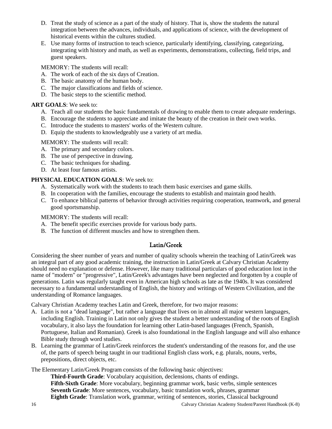- D. Treat the study of science as a part of the study of history. That is, show the students the natural integration between the advances, individuals, and applications of science, with the development of historical events within the cultures studied.
- E. Use many forms of instruction to teach science, particularly identifying, classifying, categorizing, integrating with history and math, as well as experiments, demonstrations, collecting, field trips, and guest speakers.

MEMORY: The students will recall:

- A. The work of each of the six days of Creation.
- B. The basic anatomy of the human body.
- C. The major classifications and fields of science.
- D. The basic steps to the scientific method.

#### **ART GOALS**: We seek to:

- A. Teach all our students the basic fundamentals of drawing to enable them to create adequate renderings.
- B. Encourage the students to appreciate and imitate the beauty of the creation in their own works.
- C. Introduce the students to masters' works of the Western culture.
- D. Equip the students to knowledgeably use a variety of art media.

MEMORY: The students will recall:

- A. The primary and secondary colors.
- B. The use of perspective in drawing.
- C. The basic techniques for shading.
- D. At least four famous artists.

#### **PHYSICAL EDUCATION GOALS**: We seek to:

- A. Systematically work with the students to teach them basic exercises and game skills.
- B. In cooperation with the families, encourage the students to establish and maintain good health.
- C. To enhance biblical patterns of behavior through activities requiring cooperation, teamwork, and general good sportsmanship.

MEMORY: The students will recall:

- A. The benefit specific exercises provide for various body parts.
- <span id="page-17-0"></span>B. The function of different muscles and how to strengthen them.

# Latin/Greek

Considering the sheer number of years and number of quality schools wherein the teaching of Latin/Greek was an integral part of any good academic training, the instruction in Latin/Greek at Calvary Christian Academy should need no explanation or defense. However, like many traditional particulars of good education lost in the name of "modern" or "progressive", Latin/Greek's advantages have been neglected and forgotten by a couple of generations. Latin was regularly taught even in American high schools as late as the 1940s. It was considered necessary to a fundamental understanding of English, the history and writings of Western Civilization, and the understanding of Romance languages.

Calvary Christian Academy teaches Latin and Greek, therefore, for two major reasons:

- A. Latin is not a "dead language", but rather a language that lives on in almost all major western languages, including English. Training in Latin not only gives the student a better understanding of the roots of English vocabulary, it also lays the foundation for learning other Latin-based languages (French, Spanish, Portuguese, Italian and Romanian). Greek is also foundational in the English language and will also enhance Bible study through word studies.
- B. Learning the grammar of Latin/Greek reinforces the student's understanding of the reasons for, and the use of, the parts of speech being taught in our traditional English class work, e.g. plurals, nouns, verbs, prepositions, direct objects, etc.

The Elementary Latin/Greek Program consists of the following basic objectives:

**Third-Fourth Grade**: Vocabulary acquisition, declensions, chants of endings. **Fifth-Sixth Grade**: More vocabulary, beginning grammar work, basic verbs, simple sentences **Seventh Grade**: More sentences, vocabulary, basic translation work, phrases, grammar **Eighth Grade**: Translation work, grammar, writing of sentences, stories, Classical background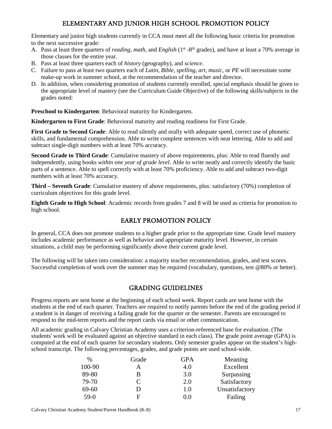# ELEMENTARY AND JUNIOR HIGH SCHOOL PROMOTION POLICY

<span id="page-18-0"></span>Elementary and junior high students currently in CCA must meet all the following basic criteria for promotion to the next successive grade:

- A. Pass at least three quarters of *reading*, *math*, and *English* (1<sup>st</sup> -8<sup>th</sup> grades), and have at least a 70% average in those classes for the entire year.
- B. Pass at least three quarters each of *history* (geography), and *science*.
- C. Failure to pass at least two quarters each of *Latin*, *Bible*, *spelling*, *art*, *music*, or *PE* will necessitate some make-up work in summer school, at the recommendation of the teacher and director.
- D. In addition, when considering promotion of students currently enrolled, special emphasis should be given to the appropriate level of mastery (see the Curriculum Guide Objective) of the following skills/subjects in the grades noted:

**Preschool to Kindergarten**: Behavioral maturity for Kindergarten.

**Kindergarten to First Grade**: Behavioral maturity and reading readiness for First Grade.

**First Grade to Second Grade**: Able to read silently and orally with adequate speed, correct use of phonetic skills, and fundamental comprehension. Able to write complete sentences with neat lettering. Able to add and subtract single-digit numbers with at least 70% accuracy.

**Second Grade to Third Grade**: Cumulative mastery of above requirements, plus: Able to read fluently and independently, using books *within one year of grade level*. Able to write neatly and correctly identify the basic parts of a sentence. Able to spell correctly with at least 70% proficiency. Able to add and subtract two-digit numbers with at least 70% accuracy.

**Third – Seventh Grade**: Cumulative mastery of above requirements, plus: satisfactory (70%) completion of curriculum objectives for this grade level.

**Eighth Grade to High School**: Academic records from grades 7 and 8 will be used as criteria for promotion to high school.

# EARLY PROMOTION POLICY

<span id="page-18-1"></span>In general, CCA does not promote students to a higher grade prior to the appropriate time. Grade level mastery includes academic performance as well as behavior and appropriate maturity level. However, in certain situations, a child may be performing significantly above their current grade level.

The following will be taken into consideration: a majority teacher recommendation, grades, and test scores. Successful completion of work over the summer may be required (vocabulary, questions, test @80% or better).

#### GRADING GUIDELINES

<span id="page-18-2"></span>Progress reports are sent home at the beginning of each school week. Report cards are sent home with the students at the end of each quarter. Teachers are required to notify parents before the end of the grading period if a student is in danger of receiving a failing grade for the quarter or the semester. Parents are encouraged to respond to the mid-term reports and the report cards via email or other communication.

All academic grading in Calvary Christian Academy uses a criterion-referenced base for evaluation. (The students' work will be evaluated against an objective standard in each class). The grade point average (GPA) is computed at the end of each quarter for secondary students. Only semester grades appear on the student's highschool transcript. The following percentages, grades, and grade points are used school-wide.

| $\%$   | Grade | <b>GPA</b> | Meaning        |
|--------|-------|------------|----------------|
| 100-90 | A     | 4.0        | Excellent      |
| 89-80  | B     | 3.0        | Surpassing     |
| 79-70  | C     | 2.0        | Satisfactory   |
| 69-60  | I)    | 1.0        | Unsatisfactory |
| $59-0$ | E     | 0.0        | Failing        |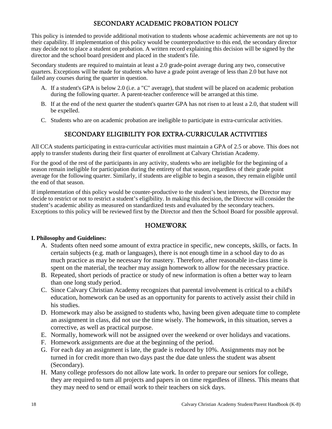# SECONDARY ACADEMIC PROBATION POLICY

<span id="page-19-0"></span>This policy is intended to provide additional motivation to students whose academic achievements are not up to their capability. If implementation of this policy would be counterproductive to this end, the secondary director may decide not to place a student on probation. A written record explaining this decision will be signed by the director and the school board president and placed in the student's file.

Secondary students are required to maintain at least a 2.0 grade-point average during any two, consecutive quarters. Exceptions will be made for students who have a grade point average of less than 2.0 but have not failed any courses during the quarter in question.

- A. If a student's GPA is below 2.0 (i.e. a "C" average), that student will be placed on academic probation during the following quarter. A parent-teacher conference will be arranged at this time.
- B. If at the end of the next quarter the student's quarter GPA has not risen to at least a 2.0, that student will be expelled.
- <span id="page-19-1"></span>C. Students who are on academic probation are ineligible to participate in extra-curricular activities.

# SECONDARY ELIGIBILITY FOR EXTRA-CURRICULAR ACTIVITIES

All CCA students participating in extra-curricular activities must maintain a GPA of 2.5 or above. This does not apply to transfer students during their first quarter of enrollment at Calvary Christian Academy.

For the good of the rest of the participants in any activity, students who are ineligible for the beginning of a season remain ineligible for participation during the entirety of that season, regardless of their grade point average for the following quarter. Similarly, if students are eligible to begin a season, they remain eligible until the end of that season.

If implementation of this policy would be counter-productive to the student's best interests, the Director may decide to restrict or not to restrict a student's eligibility. In making this decision, the Director will consider the student's academic ability as measured on standardized tests and evaluated by the secondary teachers. Exceptions to this policy will be reviewed first by the Director and then the School Board for possible approval.

#### HOMEWORK

#### <span id="page-19-2"></span>**I. Philosophy and Guidelines:**

- A. Students often need some amount of extra practice in specific, new concepts, skills, or facts. In certain subjects (e.g. math or languages), there is not enough time in a school day to do as much practice as may be necessary for mastery. Therefore, after reasonable in-class time is spent on the material, the teacher may assign homework to allow for the necessary practice.
- B. Repeated, short periods of practice or study of new information is often a better way to learn than one long study period.
- C. Since Calvary Christian Academy recognizes that parental involvement is critical to a child's education, homework can be used as an opportunity for parents to actively assist their child in his studies.
- D. Homework may also be assigned to students who, having been given adequate time to complete an assignment in class, did not use the time wisely. The homework, in this situation, serves a corrective, as well as practical purpose.
- E. Normally, homework will not be assigned over the weekend or over holidays and vacations.
- F. Homework assignments are due at the beginning of the period.
- G. For each day an assignment is late, the grade is reduced by 10%. Assignments may not be turned in for credit more than two days past the due date unless the student was absent (Secondary).
- H. Many college professors do not allow late work. In order to prepare our seniors for college, they are required to turn all projects and papers in on time regardless of illness. This means that they may need to send or email work to their teachers on sick days.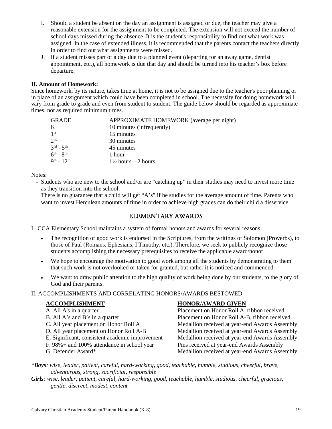- I. Should a student be absent on the day an assignment is assigned or due, the teacher may give a reasonable extension for the assignment to be completed. The extension will not exceed the number of school days missed during the absence. It is the student's responsibility to find out what work was assigned. In the case of extended illness, it is recommended that the parents contact the teachers directly in order to find out what assignments were missed.
- J. If a student misses part of a day due to a planned event (departing for an away game, dentist appointment, etc.), all homework is due that day and should be turned into his teacher's box before departure.

#### **II. Amount of Homework:**

Since homework, by its nature, takes time at home, it is not to be assigned due to the teacher's poor planning or in place of an assignment which could have been completed in school. The necessity for doing homework will vary from grade to grade and even from student to student. The guide below should be regarded as approximate times, not as required minimum times.

| <b>GRADE</b>                      | APPROXIMATE HOMEWORK (average per night) |
|-----------------------------------|------------------------------------------|
| K                                 | 10 minutes (infrequently)                |
| 1st                               | 15 minutes                               |
| 2 <sub>nd</sub>                   | 30 minutes                               |
| $3^{\text{rd}}$ - $5^{\text{th}}$ | 45 minutes                               |
| $6^{\text{th}}$ - $8^{\text{th}}$ | 1 hour                                   |
| $9^{th}$ - $12^{th}$              | $1\frac{1}{2}$ hours—2 hours             |

Notes:

- − Students who are new to the school and/or are "catching up" in their studies may need to invest more time as they transition into the school.
- <span id="page-20-0"></span>− There is no guarantee that a child will get "A's" if he studies for the average amount of time. Parents who want to invest Herculean amounts of time in order to achieve high grades can do their child a disservice.

#### ELEMENTARY AWARDS

I. CCA Elementary School maintains a system of formal honors and awards for several reasons:

- The recognition of good work is endorsed in the Scriptures, from the writings of Solomon (Proverbs), to those of Paul (Romans, Ephesians, I Timothy, etc.). Therefore, we seek to publicly recognize those students accomplishing the necessary prerequisites to receive the applicable award/honor.
- We hope to encourage the motivation to good work among all the students by demonstrating to them that such work is not overlooked or taken for granted, but rather it is noticed and commended.
- We want to draw public attention to the high quality of work being done by our students, to the glory of God and their parents.

#### II. ACCOMPLISHMENTS AND CORRELATING HONORS/AWARDS BESTOWED

- 
- 
- 
- 
- 
- 
- 

#### **ACCOMPLISHMENT HONOR/AWARD GIVEN**

A. All A's in a quarter Placement on Honor Roll A, ribbon received B. All A's and B's in a quarter Placement on Honor Roll A-B, ribbon received C. All year placement on Honor Roll A Medallion received at year-end Awards Assembly D. All year placement on Honor Roll A-B Medallion received at year-end Awards Assembly E. Significant, consistent academic improvement Medallion received at year-end Awards Assembly F. 98%+ and 100% attendance in school year Pins received at year-end Awards Assembly G. Defender Award\* Medallion received at year-end Awards Assembly

*\*Boys: wise, leader, patient, careful, hard-working, good, teachable, humble, studious, cheerful, brave, adventurous, strong, sacrificial, responsible* 

*Girls: wise, leader, patient, careful, hard-working, good, teachable, humble, studious, cheerful, gracious, gentle, discreet, modest, content*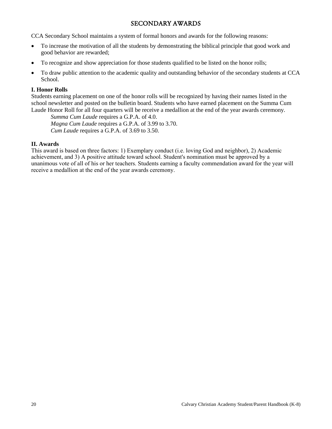#### SECONDARY AWARDS

<span id="page-21-0"></span>CCA Secondary School maintains a system of formal honors and awards for the following reasons:

- To increase the motivation of all the students by demonstrating the biblical principle that good work and good behavior are rewarded;
- To recognize and show appreciation for those students qualified to be listed on the honor rolls;
- To draw public attention to the academic quality and outstanding behavior of the secondary students at CCA School.

#### **I. Honor Rolls**

Students earning placement on one of the honor rolls will be recognized by having their names listed in the school newsletter and posted on the bulletin board. Students who have earned placement on the Summa Cum Laude Honor Roll for all four quarters will be receive a medallion at the end of the year awards ceremony.

*Summa Cum Laude* requires a G.P.A. of 4.0. *Magna Cum Laude* requires a G.P.A. of 3.99 to 3.70. *Cum Laude* requires a G.P.A. of 3.69 to 3.50.

#### **II. Awards**

This award is based on three factors: 1) Exemplary conduct (i.e. loving God and neighbor), 2) Academic achievement, and 3) A positive attitude toward school. Student's nomination must be approved by a unanimous vote of all of his or her teachers. Students earning a faculty commendation award for the year will receive a medallion at the end of the year awards ceremony.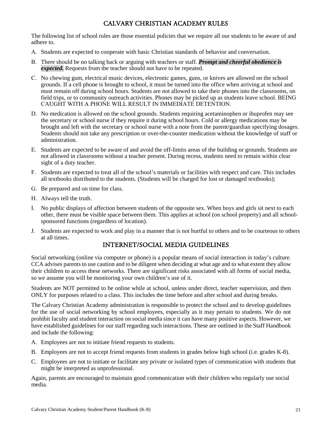# CALVARY CHRISTIAN ACADEMY RULES

<span id="page-22-0"></span>The following list of school rules are those essential policies that we require all our students to be aware of and adhere to.

- A. Students are expected to cooperate with basic Christian standards of behavior and conversation.
- B. There should be no talking back or arguing with teachers or staff. *Prompt and cheerful obedience is expected.* Requests from the teacher should not have to be repeated.
- C. No chewing gum, electrical music devices, electronic games, guns, or knives are allowed on the school grounds. If a cell phone is brought to school, it must be turned into the office when arriving at school and must remain off during school hours. Students are not allowed to take their phones into the classrooms, on field trips, or to community outreach activities. Phones may be picked up as students leave school. BEING CAUGHT WITH A PHONE WILL RESULT IN IMMEDIATE DETENTION.
- D. No medication is allowed on the school grounds. Students requiring acetaminophen or ibuprofen may see the secretary or school nurse if they require it during school hours. Cold or allergy medications may be brought and left with the secretary or school nurse with a note from the parent/guardian specifying dosages. Students should not take any prescription or over-the-counter medication without the knowledge of staff or administration.
- E. Students are expected to be aware of and avoid the off-limits areas of the building or grounds. Students are not allowed in classrooms without a teacher present. During recess, students need to remain within clear sight of a duty teacher.
- F. Students are expected to treat all of the school's materials or facilities with respect and care. This includes all textbooks distributed to the students. (Students will be charged for lost or damaged textbooks);
- G. Be prepared and on time for class.
- H. Always tell the truth.
- I. No public displays of affection between students of the opposite sex. When boys and girls sit next to each other, there must be visible space between them. This applies at school (on school property) and all schoolsponsored functions (regardless of location).
- <span id="page-22-1"></span>J. Students are expected to work and play in a manner that is not hurtful to others and to be courteous to others at all times.

#### INTERNET/SOCIAL MEDIA GUIDELINES

Social networking (online via computer or phone) is a popular means of social interaction in today's culture. CCA advises parents to use caution and to be diligent when deciding at what age and to what extent they allow their children to access these networks. There are significant risks associated with all forms of social media, so we assume you will be monitoring your own children's use of it.

Students are NOT permitted to be online while at school, unless under direct, teacher supervision, and then ONLY for purposes related to a class. This includes the time before and after school and during breaks.

The Calvary Christian Academy administration is responsible to protect the school and to develop guidelines for the use of social networking by school employees, especially as it may pertain to students. We do not prohibit faculty and student interaction on social media since it can have many positive aspects. However, we have established guidelines for our staff regarding such interactions. These are outlined in the Staff Handbook and include the following:

- A. Employees are not to initiate friend requests to students.
- B. Employees are not to accept friend requests from students in grades below high school (i.e. grades K-8).
- C. Employees are not to initiate or facilitate any private or isolated types of communication with students that might be interpreted as unprofessional.

<span id="page-22-2"></span>Again, parents are encouraged to maintain good communication with their children who regularly use social media.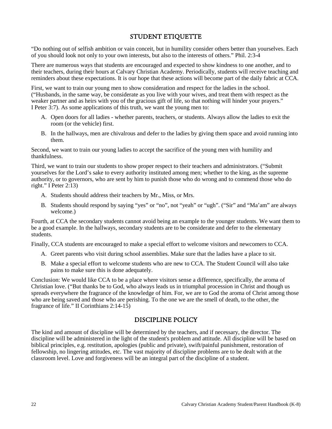# STUDENT ETIQUETTE

"Do nothing out of selfish ambition or vain conceit, but in humility consider others better than yourselves. Each of you should look not only to your own interests, but also to the interests of others." Phil. 2:3-4

There are numerous ways that students are encouraged and expected to show kindness to one another, and to their teachers, during their hours at Calvary Christian Academy. Periodically, students will receive teaching and reminders about these expectations. It is our hope that these actions will become part of the daily fabric at CCA.

First, we want to train our young men to show consideration and respect for the ladies in the school. ("Husbands, in the same way, be considerate as you live with your wives, and treat them with respect as the weaker partner and as heirs with you of the gracious gift of life, so that nothing will hinder your prayers." I Peter 3:7). As some applications of this truth, we want the young men to:

- A. Open doors for all ladies whether parents, teachers, or students. Always allow the ladies to exit the room (or the vehicle) first.
- B. In the hallways, men are chivalrous and defer to the ladies by giving them space and avoid running into them.

Second, we want to train our young ladies to accept the sacrifice of the young men with humility and thankfulness.

Third, we want to train our students to show proper respect to their teachers and administrators. ("Submit yourselves for the Lord's sake to every authority instituted among men; whether to the king, as the supreme authority, or to governors, who are sent by him to punish those who do wrong and to commend those who do right." I Peter 2:13)

- A. Students should address their teachers by Mr., Miss, or Mrs.
- B. Students should respond by saying "yes" or "no", not "yeah" or "ugh". ("Sir" and "Ma'am" are always welcome.)

Fourth, at CCA the secondary students cannot avoid being an example to the younger students. We want them to be a good example. In the hallways, secondary students are to be considerate and defer to the elementary students.

Finally, CCA students are encouraged to make a special effort to welcome visitors and newcomers to CCA.

- A. Greet parents who visit during school assemblies. Make sure that the ladies have a place to sit.
- B. Make a special effort to welcome students who are new to CCA. The Student Council will also take pains to make sure this is done adequately.

Conclusion: We would like CCA to be a place where visitors sense a difference, specifically, the aroma of Christian love. ("But thanks be to God, who always leads us in triumphal procession in Christ and though us spreads everywhere the fragrance of the knowledge of him. For, we are to God the aroma of Christ among those who are being saved and those who are perishing. To the one we are the smell of death, to the other, the fragrance of life." II Corinthians 2:14-15)

#### DISCIPLINE POLICY

<span id="page-23-0"></span>The kind and amount of discipline will be determined by the teachers, and if necessary, the director. The discipline will be administered in the light of the student's problem and attitude. All discipline will be based on biblical principles, e.g. restitution, apologies (public and private), swift/painful punishment, restoration of fellowship, no lingering attitudes, etc. The vast majority of discipline problems are to be dealt with at the classroom level. Love and forgiveness will be an integral part of the discipline of a student.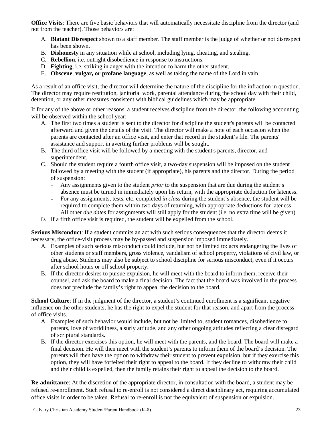**Office Visits**: There are five basic behaviors that will automatically necessitate discipline from the director (and not from the teacher). Those behaviors are:

- A. **Blatant Disrespect** shown to a staff member. The staff member is the judge of whether or not disrespect has been shown.
- B. **Dishonesty** in any situation while at school, including lying, cheating, and stealing.
- C. **Rebellion**, i.e. outright disobedience in response to instructions.
- D. **Fighting**, i.e. striking in anger with the intention to harm the other student.
- E. **Obscene**, **vulgar, or profane language**, as well as taking the name of the Lord in vain.

As a result of an office visit, the director will determine the nature of the discipline for the infraction in question. The director may require restitution, janitorial work, parental attendance during the school day with their child, detention, or any other measures consistent with biblical guidelines which may be appropriate.

If for any of the above or other reasons, a student receives discipline from the director, the following accounting will be observed within the school year:

- A. The first two times a student is sent to the director for discipline the student's parents will be contacted afterward and given the details of the visit. The director will make a note of each occasion when the parents are contacted after an office visit, and enter that record in the student's file. The parents' assistance and support in averting further problems will be sought.
- B. The third office visit will be followed by a meeting with the student's parents, director, and superintendent.
- C. Should the student require a fourth office visit, a two-day suspension will be imposed on the student followed by a meeting with the student (if appropriate), his parents and the director. During the period of suspension:
	- − Any assignments given to the student *prior* to the suspension that are due during the student's absence must be turned in immediately upon his return, with the appropriate deduction for lateness.
	- − For any assignments, tests, etc. completed *in class* during the student's absence, the student will be required to complete them within two days of returning, with appropriate deductions for lateness.
	- − All other *due dates* for assignments will still apply for the student (i.e. no extra time will be given).
- D. If a fifth office visit is required, the student will be expelled from the school.

**Serious Misconduct**: If a student commits an act with such serious consequences that the director deems it necessary, the office-visit process may be by-passed and suspension imposed immediately.

- A. Examples of such serious misconduct could include, but not be limited to: acts endangering the lives of other students or staff members, gross violence, vandalism of school property, violations of civil law, or drug abuse. Students may also be subject to school discipline for serious misconduct, even if it occurs after school hours or off school property.
- B. If the director desires to pursue expulsion, he will meet with the board to inform them, receive their counsel, and ask the board to make a final decision. The fact that the board was involved in the process does not preclude the family's right to appeal the decision to the board.

**School Culture**: If in the judgment of the director, a student's continued enrollment is a significant negative influence on the other students, he has the right to expel the student for that reason, and apart from the process of office visits.

- A. Examples of such behavior would include, but not be limited to, student romances, disobedience to parents, love of worldliness, a surly attitude, and any other ongoing attitudes reflecting a clear disregard of scriptural standards.
- B. If the director exercises this option, he will meet with the parents, and the board. The board will make a final decision. He will then meet with the student's parents to inform them of the board's decision. The parents will then have the option to withdraw their student to prevent expulsion, but if they exercise this option, they will have forfeited their right to appeal to the board. If they decline to withdraw their child and their child is expelled, then the family retains their right to appeal the decision to the board.

**Re-admittance**: At the discretion of the appropriate director, in consultation with the board, a student may be refused re-enrollment. Such refusal to re-enroll is not considered a direct disciplinary act, requiring accumulated office visits in order to be taken. Refusal to re-enroll is not the equivalent of suspension or expulsion.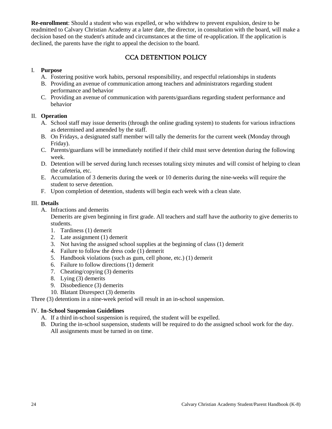**Re-enrollment**: Should a student who was expelled, or who withdrew to prevent expulsion, desire to be readmitted to Calvary Christian Academy at a later date, the director, in consultation with the board, will make a decision based on the student's attitude and circumstances at the time of re-application. If the application is declined, the parents have the right to appeal the decision to the board.

# CCA DETENTION POLICY

#### <span id="page-25-0"></span>I. **Purpose**

- A. Fostering positive work habits, personal responsibility, and respectful relationships in students
- B. Providing an avenue of communication among teachers and administrators regarding student performance and behavior
- C. Providing an avenue of communication with parents/guardians regarding student performance and behavior

#### II. **Operation**

- A. School staff may issue demerits (through the online grading system) to students for various infractions as determined and amended by the staff.
- B. On Fridays, a designated staff member will tally the demerits for the current week (Monday through Friday).
- C. Parents/guardians will be immediately notified if their child must serve detention during the following week.
- D. Detention will be served during lunch recesses totaling sixty minutes and will consist of helping to clean the cafeteria, etc.
- E. Accumulation of 3 demerits during the week or 10 demerits during the nine-weeks will require the student to serve detention.
- F. Upon completion of detention, students will begin each week with a clean slate.

#### III. **Details**

A. Infractions and demerits

Demerits are given beginning in first grade. All teachers and staff have the authority to give demerits to students.

- 1. Tardiness (1) demerit
- 2. Late assignment (1) demerit
- 3. Not having the assigned school supplies at the beginning of class (1) demerit
- 4. Failure to follow the dress code (1) demerit
- 5. Handbook violations (such as gum, cell phone, etc.) (1) demerit
- 6. Failure to follow directions (1) demerit
- 7. Cheating/copying (3) demerits
- 8. Lying (3) demerits
- 9. Disobedience (3) demerits
- 10. Blatant Disrespect (3) demerits

Three (3) detentions in a nine-week period will result in an in-school suspension.

#### IV. **In-School Suspension Guidelines**

- A. If a third in-school suspension is required, the student will be expelled.
- B. During the in-school suspension, students will be required to do the assigned school work for the day. All assignments must be turned in on time.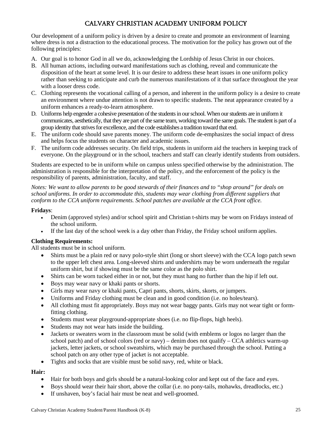# CALVARY CHRISTIAN ACADEMY UNIFORM POLICY

<span id="page-26-0"></span>Our development of a uniform policy is driven by a desire to create and promote an environment of learning where dress is not a distraction to the educational process. The motivation for the policy has grown out of the following principles:

- A. Our goal is to honor God in all we do, acknowledging the Lordship of Jesus Christ in our choices.
- B. All human actions, including outward manifestations such as clothing, reveal and communicate the disposition of the heart at some level. It is our desire to address these heart issues in one uniform policy rather than seeking to anticipate and curb the numerous manifestations of it that surface throughout the year with a looser dress code.
- C. Clothing represents the vocational calling of a person, and inherent in the uniform policy is a desire to create an environment where undue attention is not drawn to specific students. The neat appearance created by a uniform enhances a ready-to-learn atmosphere.
- D. Uniforms help engender a cohesive presentation of the students in our school.When our students are in uniform it communicates, aesthetically, that they are part of the same team, working toward the same goals. The student is part of a group identity that strives for excellence, and the code establishes a tradition toward that end.
- E. The uniform code should save parents money. The uniform code de-emphasizes the social impact of dress and helps focus the students on character and academic issues.
- F. The uniform code addresses security. On field trips, students in uniform aid the teachers in keeping track of everyone. On the playground or in the school, teachers and staff can clearly identify students from outsiders.

Students are expected to be in uniform while on campus unless specified otherwise by the administration. The administration is responsible for the interpretation of the policy, and the enforcement of the policy is the responsibility of parents, administration, faculty, and staff.

*Notes: We want to allow parents to be good stewards of their finances and to "shop around" for deals on school uniforms. In order to accommodate this, students may wear clothing from different suppliers that conform to the CCA uniform requirements. School patches are available at the CCA front office.* 

#### **Fridays**:

- Denim (approved styles) and/or school spirit and Christian t-shirts may be worn on Fridays instead of the school uniform.
- If the last day of the school week is a day other than Friday, the Friday school uniform applies.

#### **Clothing Requirements:**

All students must be in school uniform.

- Shirts must be a plain red or navy polo-style shirt (long or short sleeve) with the CCA logo patch sewn to the upper left chest area. Long-sleeved shirts and undershirts may be worn underneath the regular uniform shirt, but if showing must be the same color as the polo shirt.
- Shirts can be worn tucked either in or not, but they must hang no further than the hip if left out.
- Boys may wear navy or khaki pants or shorts.
- Girls may wear navy or khaki pants, Capri pants, shorts, skirts, skorts, or jumpers.
- Uniforms and Friday clothing must be clean and in good condition (i.e. no holes/tears).
- All clothing must fit appropriately. Boys may not wear baggy pants. Girls may not wear tight or formfitting clothing.
- Students must wear playground-appropriate shoes (i.e. no flip-flops, high heels).
- Students may not wear hats inside the building.
- Jackets or sweaters worn in the classroom must be solid (with emblems or logos no larger than the school patch) and of school colors (red or navy) – denim does not qualify – CCA athletics warm-up jackets, letter jackets, or school sweatshirts, which may be purchased through the school. Putting a school patch on any other type of jacket is not acceptable.
- Tights and socks that are visible must be solid navy, red, white or black.

# **Hair:**

- Hair for both boys and girls should be a natural-looking color and kept out of the face and eyes.
- Boys should wear their hair short, above the collar (i.e. no pony-tails, mohawks, dreadlocks, etc.)
- If unshaven, boy's facial hair must be neat and well-groomed.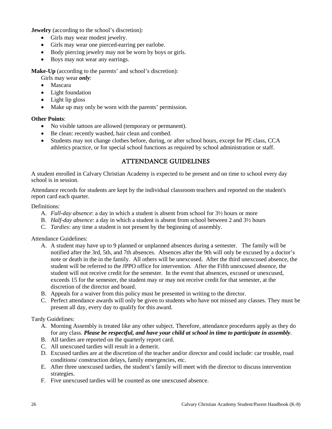**Jewelry** (according to the school's discretion):

- Girls may wear modest jewelry.
- Girls may wear one pierced-earring per earlobe.
- Body piercing jewelry may not be worn by boys or girls.
- Boys may not wear any earrings.

**Make-Up** (according to the parents' and school's discretion):

- Girls may wear *only*:
- Mascara
- Light foundation
- Light lip gloss
- Make up may only be worn with the parents' permission.

#### **Other Points**:

- No visible tattoos are allowed (temporary or permanent).
- Be clean: recently washed, hair clean and combed.
- Students may not change clothes before, during, or after school hours, except for PE class, CCA athletics practice, or for special school functions as required by school administration or staff.

# ATTENDANCE GUIDELINES

<span id="page-27-0"></span>A student enrolled in Calvary Christian Academy is expected to be present and on time to school every day school is in session.

Attendance records for students are kept by the individual classroom teachers and reported on the student's report card each quarter.

#### Definitions:

- A. *Full-day absence*: a day in which a student is absent from school for 3½ hours or more
- B. *Half-day absence*: a day in which a student is absent from school between 2 and 3½ hours
- C. *Tardies*: any time a student is not present by the beginning of assembly.

Attendance Guidelines:

- A. A student may have up to 9 planned or unplanned absences during a semester. The family will be notified after the 3rd, 5th, and 7th absences. Absences after the 9th will only be excused by a doctor's note or death in the in the family. All others will be unexcused. After the third unexcused absence, the student will be referred to the JPPO office for intervention. After the Fifth unexcused absence, the student will not receive credit for the semester. In the event that absences, excused or unexcused, exceeds 15 for the semester, the student may or may not receive credit for that semester, at the discretion of the director and board.
- B. Appeals for a waiver from this policy must be presented in writing to the director.
- C. Perfect attendance awards will only be given to students who have not missed any classes. They must be present all day, every day to qualify for this award.

Tardy Guidelines:

- A. Morning Assembly is treated like any other subject. Therefore, attendance procedures apply as they do for any class. *Please be respectful, and have your child at school in time to participate in assembly*.
- B. All tardies are reported on the quarterly report card.
- C. All unexcused tardies will result in a demerit.
- D. Excused tardies are at the discretion of the teacher and/or director and could include: car trouble, road conditions/ construction delays, family emergencies, etc.
- E. After three unexcused tardies, the student's family will meet with the director to discuss intervention strategies.
- F. Five unexcused tardies will be counted as one unexcused absence.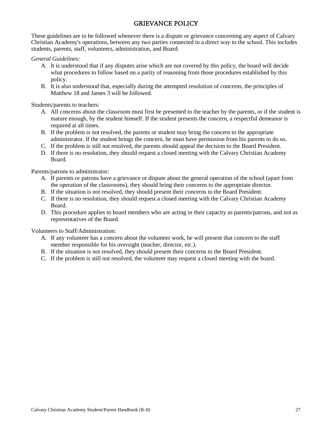# GRIEVANCE POLICY

<span id="page-28-0"></span>These guidelines are to be followed whenever there is a dispute or grievance concerning any aspect of Calvary Christian Academy's operations, between any two parties connected in a direct way to the school. This includes students, parents, staff, volunteers, administration, and Board.

#### *General Guidelines:*

- A. It is understood that if any disputes arise which are not covered by this policy, the board will decide what procedures to follow based on a parity of reasoning from those procedures established by this policy.
- B. It is also understood that, especially during the attempted resolution of concerns, the principles of Matthew 18 and James 3 will be followed.

Students/parents to teachers:

- A. All concerns about the classroom must first be presented to the teacher by the parents, or if the student is mature enough, by the student himself. If the student presents the concern, a respectful demeanor is required at all times.
- B. If the problem is not resolved, the parents or student may bring the concern to the appropriate administrator. If the student brings the concern, he must have permission from his parents to do so.
- C. If the problem is still not resolved, the parents should appeal the decision to the Board President.
- D. If there is no resolution, they should request a closed meeting with the Calvary Christian Academy Board.

Parents/patrons to administrator:

- A. If parents or patrons have a grievance or dispute about the general operation of the school (apart from the operation of the classrooms), they should bring their concerns to the appropriate director.
- B. If the situation is not resolved, they should present their concerns to the Board President.
- C. If there is no resolution, they should request a closed meeting with the Calvary Christian Academy Board.
- D. This procedure applies to board members who are acting in their capacity as parents/patrons, and not as representatives of the Board.

Volunteers to Staff/Administration:

- A. If any volunteer has a concern about the volunteer work, he will present that concern to the staff member responsible for his oversight (teacher, director, etc.).
- B. If the situation is not resolved, they should present their concerns to the Board President.
- <span id="page-28-1"></span>C. If the problem is still not resolved, the volunteer may request a closed meeting with the board.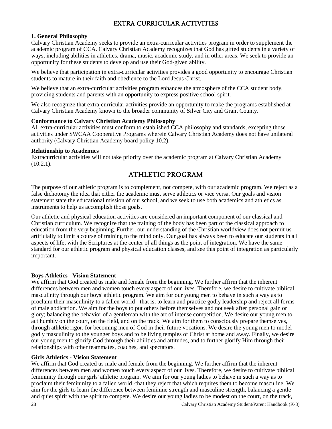# EXTRA CURRICULAR ACTIVITIES

#### **1. General Philosophy**

Calvary Christian Academy seeks to provide an extra-curricular activities program in order to supplement the academic program of CCA. Calvary Christian Academy recognizes that God has gifted students in a variety of ways, including abilities in athletics, drama, music, academic study, and in other areas. We seek to provide an opportunity for these students to develop and use their God-given ability.

We believe that participation in extra-curricular activities provides a good opportunity to encourage Christian students to mature in their faith and obedience to the Lord Jesus Christ.

We believe that an extra-curricular activities program enhances the atmosphere of the CCA student body, providing students and parents with an opportunity to express positive school spirit.

We also recognize that extra-curricular activities provide an opportunity to make the programs established at Calvary Christian Academy known to the broader community of Silver City and Grant County.

#### **Conformance to Calvary Christian Academy Philosophy**

All extra-curricular activities must conform to established CCA philosophy and standards, excepting those activities under SWCAA Cooperative Programs wherein Calvary Christian Academy does not have unilateral authority (Calvary Christian Academy board policy 10.2).

#### **Relationship to Academics**

Extracurricular activities will not take priority over the academic program at Calvary Christian Academy (10.2.1).

# ATHLETIC PROGRAM

<span id="page-29-0"></span>The purpose of our athletic program is to complement, not compete, with our academic program. We reject as a false dichotomy the idea that either the academic must serve athletics or vice versa. Our goals and vision statement state the educational mission of our school, and we seek to use both academics and athletics as instruments to help us accomplish those goals.

Our athletic and physical education activities are considered an important component of our classical and Christian curriculum. We recognize that the training of the body has been part of the classical approach to education from the very beginning. Further, our understanding of the Christian worldview does not permit us artificially to limit a course of training to the mind only. Our goal has always been to educate our students in all aspects of life, with the Scriptures at the center of all things as the point of integration. We have the same standard for our athletic program and physical education classes, and see this point of integration as particularly important.

#### **Boys Athletics - Vision Statement**

We affirm that God created us male and female from the beginning. We further affirm that the inherent differences between men and women touch every aspect of our lives. Therefore, we desire to cultivate biblical masculinity through our boys' athletic program. We aim for our young men to behave in such a way as to proclaim their masculinity to a fallen world - that is, to learn and practice godly leadership and reject all forms of male abdication. We aim for the boys to put others before themselves and not seek after personal gain or glory; balancing the behavior of a gentleman with the art of intense competition. We desire our young men to act humbly on the court, on the field, and on the track. We aim for them to consciously prepare themselves, through athletic rigor, for becoming men of God in their future vocations. We desire the young men to model godly masculinity to the younger boys and to be living temples of Christ at home and away. Finally, we desire our young men to glorify God through their abilities and attitudes, and to further glorify Him through their relationships with other teammates, coaches, and spectators.

#### **Girls Athletics - Vision Statement**

We affirm that God created us male and female from the beginning. We further affirm that the inherent differences between men and women touch every aspect of our lives. Therefore, we desire to cultivate biblical femininity through our girls' athletic program. We aim for our young ladies to behave in such a way as to proclaim their femininity to a fallen world -that they reject that which requires them to become masculine. We aim for the girls to learn the difference between feminine strength and masculine strength, balancing a gentle and quiet spirit with the spirit to compete. We desire our young ladies to be modest on the court, on the track,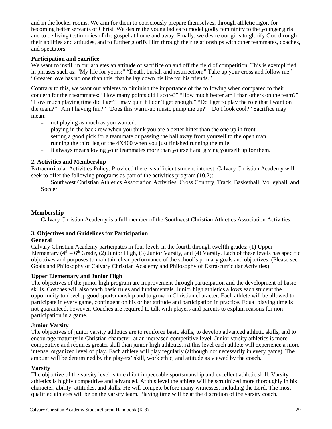and in the locker rooms. We aim for them to consciously prepare themselves, through athletic rigor, for becoming better servants of Christ. We desire the young ladies to model godly femininity to the younger girls and to be living testimonies of the gospel at home and away. Finally, we desire our girls to glorify God through their abilities and attitudes, and to further glorify Him through their relationships with other teammates, coaches, and spectators.

#### **Participation and Sacrifice**

We want to instill in our athletes an attitude of sacrifice on and off the field of competition. This is exemplified in phrases such as: "My life for yours;" "Death, burial, and resurrection;" Take up your cross and follow me;" "Greater love has no one than this, that he lay down his life for his friends."

Contrary to this, we want our athletes to diminish the importance of the following when compared to their concern for their teammates: "How many points did I score?" "How much better am I than others on the team?" "How much playing time did I get? I may quit if I don't get enough." "Do I get to play the role that I want on the team?" "Am I having fun?" "Does this warm-up music pump me up?" "Do I look cool?" Sacrifice may mean:

- − not playing as much as you wanted.
- − playing in the back row when you think you are a better hitter than the one up in front.
- − setting a good pick for a teammate or passing the ball away from yourself to the open man.
- − running the third leg of the 4X400 when you just finished running the mile.
- − It always means loving your teammates more than yourself and giving yourself up for them.

#### **2. Activities and Membership**

Extracurricular Activities Policy: Provided there is sufficient student interest, Calvary Christian Academy will seek to offer the following programs as part of the activities program (10.2):

Southwest Christian Athletics Association Activities: Cross Country, Track, Basketball, Volleyball, and Soccer

#### **Membership**

Calvary Christian Academy is a full member of the Southwest Christian Athletics Association Activities.

#### **3. Objectives and Guidelines for Participation**

#### **General**

Calvary Christian Academy participates in four levels in the fourth through twelfth grades: (1) Upper Elementary ( $4<sup>th</sup> - 6<sup>th</sup>$  Grade, (2) Junior High, (3) Junior Varsity, and (4) Varsity. Each of these levels has specific objectives and purposes to maintain clear performance of the school's primary goals and objectives. (Please see Goals and Philosophy of Calvary Christian Academy and Philosophy of Extra-curricular Activities).

#### **Upper Elementary and Junior High**

The objectives of the junior high program are improvement through participation and the development of basic skills. Coaches will also teach basic rules and fundamentals. Junior high athletics allows each student the opportunity to develop good sportsmanship and to grow in Christian character. Each athlete will be allowed to participate in every game, contingent on his or her attitude and participation in practice. Equal playing time is not guaranteed, however. Coaches are required to talk with players and parents to explain reasons for nonparticipation in a game.

#### **Junior Varsity**

The objectives of junior varsity athletics are to reinforce basic skills, to develop advanced athletic skills, and to encourage maturity in Christian character, at an increased competitive level. Junior varsity athletics is more competitive and requires greater skill than junior-high athletics. At this level each athlete will experience a more intense, organized level of play. Each athlete will play regularly (although not necessarily in every game). The amount will be determined by the players' skill, work ethic, and attitude as viewed by the coach.

#### **Varsity**

The objective of the varsity level is to exhibit impeccable sportsmanship and excellent athletic skill. Varsity athletics is highly competitive and advanced. At this level the athlete will be scrutinized more thoroughly in his character, ability, attitudes, and skills. He will compete before many witnesses, including the Lord. The most qualified athletes will be on the varsity team. Playing time will be at the discretion of the varsity coach.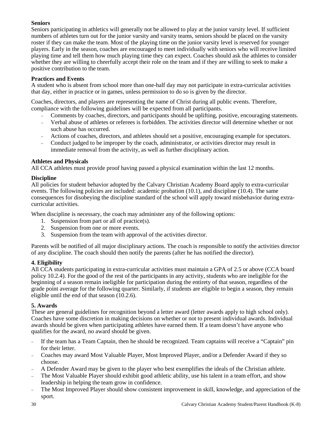#### **Seniors**

Seniors participating in athletics will generally not be allowed to play at the junior varsity level. If sufficient numbers of athletes turn out for the junior varsity and varsity teams, seniors should be placed on the varsity roster if they can make the team. Most of the playing time on the junior varsity level is reserved for younger players. Early in the season, coaches are encouraged to meet individually with seniors who will receive limited playing time and tell them how much playing time they can expect. Coaches should ask the athletes to consider whether they are willing to cheerfully accept their role on the team and if they are willing to seek to make a positive contribution to the team.

#### **Practices and Events**

A student who is absent from school more than one-half day may not participate in extra-curricular activities that day, either in practice or in games, unless permission to do so is given by the director.

Coaches, directors, and players are representing the name of Christ during all public events. Therefore, compliance with the following guidelines will be expected from all participants.

- − Comments by coaches, directors, and participants should be uplifting, positive, encouraging statements.
- − Verbal abuse of athletes or referees is forbidden. The activities director will determine whether or not such abuse has occurred.
- − Actions of coaches, directors, and athletes should set a positive, encouraging example for spectators.
- − Conduct judged to be improper by the coach, administrator, or activities director may result in immediate removal from the activity, as well as further disciplinary action.

#### **Athletes and Physicals**

All CCA athletes must provide proof having passed a physical examination within the last 12 months.

#### **Discipline**

All policies for student behavior adopted by the Calvary Christian Academy Board apply to extra-curricular events. The following policies are included: academic probation (10.1), and discipline (10.4). The same consequences for disobeying the discipline standard of the school will apply toward misbehavior during extracurricular activities.

When discipline is necessary, the coach may administer any of the following options:

- 1. Suspension from part or all of practice(s).
- 2. Suspension from one or more events.
- 3. Suspension from the team with approval of the activities director.

Parents will be notified of all major disciplinary actions. The coach is responsible to notify the activities director of any discipline. The coach should then notify the parents (after he has notified the director).

#### **4. Eligibility**

All CCA students participating in extra-curricular activities must maintain a GPA of 2.5 or above (CCA board policy 10.2.4). For the good of the rest of the participants in any activity, students who are ineligible for the beginning of a season remain ineligible for participation during the entirety of that season, regardless of the grade point average for the following quarter. Similarly, if students are eligible to begin a season, they remain eligible until the end of that season (10.2.6).

#### **5. Awards**

These are general guidelines for recognition beyond a letter award (letter awards apply to high school only). Coaches have some discretion in making decisions on whether or not to present individual awards. Individual awards should be given when participating athletes have earned them. If a team doesn't have anyone who qualifies for the award, no award should be given.

- − If the team has a Team Captain, then he should be recognized. Team captains will receive a "Captain" pin for their letter.
- − Coaches may award Most Valuable Player, Most Improved Player, and/or a Defender Award if they so choose.
- − A Defender Award may be given to the player who best exemplifies the ideals of the Christian athlete.
- The Most Valuable Player should exhibit good athletic ability, use his talent in a team effort, and show leadership in helping the team grow in confidence.
- − The Most Improved Player should show consistent improvement in skill, knowledge, and appreciation of the sport.